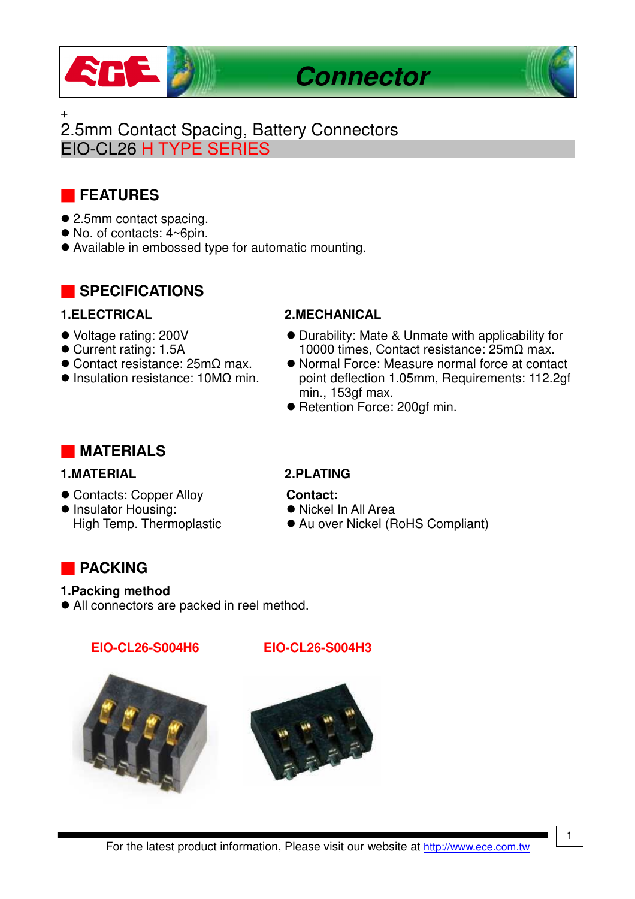

+

# 2.5mm Contact Spacing, Battery Connectors EIO-CL26 H TYPE SERIES

# ■ **FEATURES**

- 2.5mm contact spacing.
- No. of contacts: 4~6pin.
- Available in embossed type for automatic mounting.

## ■ **SPECIFICATIONS**

- Voltage rating: 200V
- Current rating: 1.5A
- Contact resistance: 25mΩ max.
- Insulation resistance: 10MΩ min.

### **1.ELECTRICAL 2.MECHANICAL**

- Durability: Mate & Unmate with applicability for 10000 times, Contact resistance: 25mΩ max.
- Normal Force: Measure normal force at contact point deflection 1.05mm, Requirements: 112.2gf min., 153gf max.
- Retention Force: 200gf min.

## ■ **MATERIALS**

## **1.MATERIAL 2.PLATING**

- Contacts: Copper Alloy
- **Insulator Housing:** High Temp. Thermoplastic

### **Contact:**

- Nickel In All Area
- Au over Nickel (RoHS Compliant)

## ■ **PACKING**

### **1.Packing method**

All connectors are packed in reel method.

### **EIO-CL26-S004H6 EIO-CL26-S004H3**